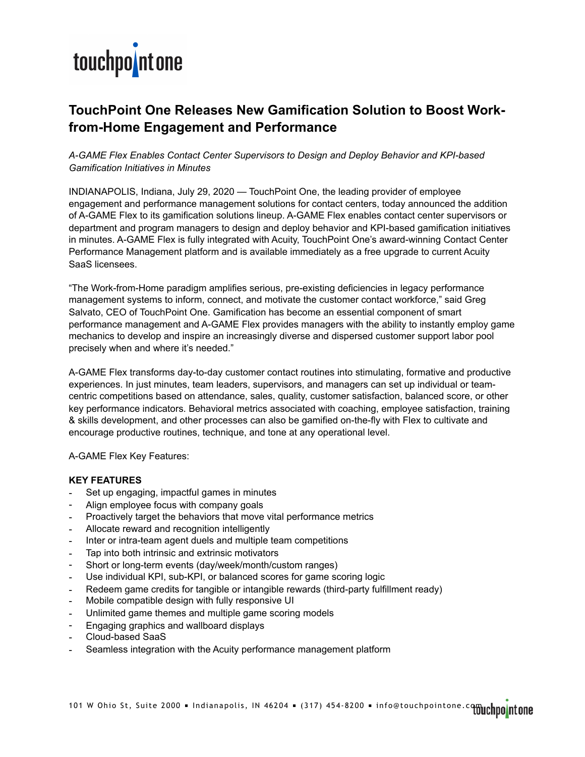

## **TouchPoint One Releases New Gamification Solution to Boost Workfrom-Home Engagement and Performance**

### *A-GAME Flex Enables Contact Center Supervisors to Design and Deploy Behavior and KPI-based Gamification Initiatives in Minutes*

INDIANAPOLIS, Indiana, July 29, 2020 — TouchPoint One, the leading provider of employee engagement and performance management solutions for contact centers, today announced the addition of A-GAME Flex to its gamification solutions lineup. A-GAME Flex enables contact center supervisors or department and program managers to design and deploy behavior and KPI-based gamification initiatives in minutes. A-GAME Flex is fully integrated with Acuity, TouchPoint One's award-winning Contact Center Performance Management platform and is available immediately as a free upgrade to current Acuity SaaS licensees.

"The Work-from-Home paradigm amplifies serious, pre-existing deficiencies in legacy performance management systems to inform, connect, and motivate the customer contact workforce," said Greg Salvato, CEO of TouchPoint One. Gamification has become an essential component of smart performance management and A-GAME Flex provides managers with the ability to instantly employ game mechanics to develop and inspire an increasingly diverse and dispersed customer support labor pool precisely when and where it's needed."

A-GAME Flex transforms day-to-day customer contact routines into stimulating, formative and productive experiences. In just minutes, team leaders, supervisors, and managers can set up individual or teamcentric competitions based on attendance, sales, quality, customer satisfaction, balanced score, or other key performance indicators. Behavioral metrics associated with coaching, employee satisfaction, training & skills development, and other processes can also be gamified on-the-fly with Flex to cultivate and encourage productive routines, technique, and tone at any operational level.

A-GAME Flex Key Features:

#### **KEY FEATURES**

- Set up engaging, impactful games in minutes
- Align employee focus with company goals
- Proactively target the behaviors that move vital performance metrics
- Allocate reward and recognition intelligently
- Inter or intra-team agent duels and multiple team competitions
- Tap into both intrinsic and extrinsic motivators
- Short or long-term events (day/week/month/custom ranges)
- Use individual KPI, sub-KPI, or balanced scores for game scoring logic
- Redeem game credits for tangible or intangible rewards (third-party fulfillment ready)
- Mobile compatible design with fully responsive UI
- Unlimited game themes and multiple game scoring models
- Engaging graphics and wallboard displays
- Cloud-based SaaS
- Seamless integration with the Acuity performance management platform